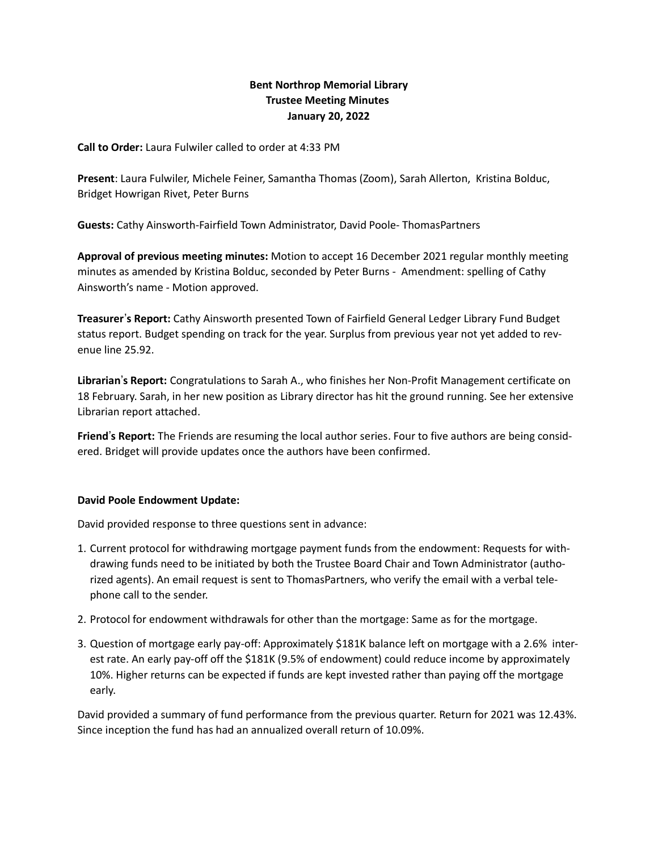# Bent Northrop Memorial Library Trustee Meeting Minutes January 20, 2022

Call to Order: Laura Fulwiler called to order at 4:33 PM

Present: Laura Fulwiler, Michele Feiner, Samantha Thomas (Zoom), Sarah Allerton, Kristina Bolduc, Bridget Howrigan Rivet, Peter Burns

Guests: Cathy Ainsworth-Fairfield Town Administrator, David Poole- ThomasPartners

Approval of previous meeting minutes: Motion to accept 16 December 2021 regular monthly meeting minutes as amended by Kristina Bolduc, seconded by Peter Burns - Amendment: spelling of Cathy Ainsworth's name - Motion approved.

Treasurer's Report: Cathy Ainsworth presented Town of Fairfield General Ledger Library Fund Budget status report. Budget spending on track for the year. Surplus from previous year not yet added to revenue line 25.92.

Librarian's Report: Congratulations to Sarah A., who finishes her Non-Profit Management certificate on 18 February. Sarah, in her new position as Library director has hit the ground running. See her extensive Librarian report attached.

Friend's Report: The Friends are resuming the local author series. Four to five authors are being considered. Bridget will provide updates once the authors have been confirmed.

#### David Poole Endowment Update:

David provided response to three questions sent in advance:

- 1. Current protocol for withdrawing mortgage payment funds from the endowment: Requests for withdrawing funds need to be initiated by both the Trustee Board Chair and Town Administrator (authorized agents). An email request is sent to ThomasPartners, who verify the email with a verbal telephone call to the sender.
- 2. Protocol for endowment withdrawals for other than the mortgage: Same as for the mortgage.
- 3. Question of mortgage early pay-off: Approximately \$181K balance left on mortgage with a 2.6% interest rate. An early pay-off off the \$181K (9.5% of endowment) could reduce income by approximately 10%. Higher returns can be expected if funds are kept invested rather than paying off the mortgage early.

David provided a summary of fund performance from the previous quarter. Return for 2021 was 12.43%. Since inception the fund has had an annualized overall return of 10.09%.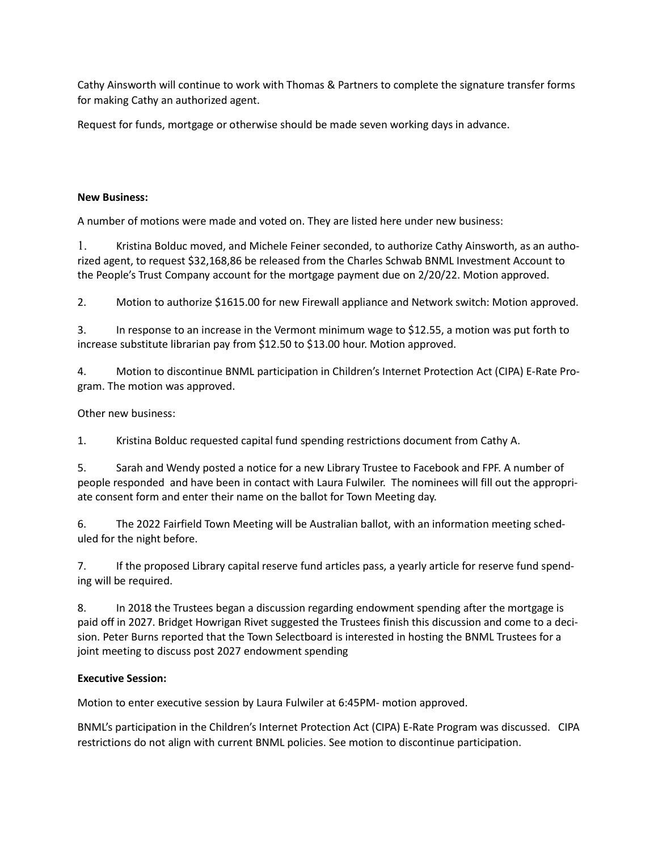Cathy Ainsworth will continue to work with Thomas & Partners to complete the signature transfer forms for making Cathy an authorized agent.

Request for funds, mortgage or otherwise should be made seven working days in advance.

## New Business:

A number of motions were made and voted on. They are listed here under new business:

1. Kristina Bolduc moved, and Michele Feiner seconded, to authorize Cathy Ainsworth, as an authorized agent, to request \$32,168,86 be released from the Charles Schwab BNML Investment Account to the People's Trust Company account for the mortgage payment due on 2/20/22. Motion approved.

2. Motion to authorize \$1615.00 for new Firewall appliance and Network switch: Motion approved.

3. In response to an increase in the Vermont minimum wage to \$12.55, a motion was put forth to increase substitute librarian pay from \$12.50 to \$13.00 hour. Motion approved.

4. Motion to discontinue BNML participation in Children's Internet Protection Act (CIPA) E-Rate Program. The motion was approved.

## Other new business:

1. Kristina Bolduc requested capital fund spending restrictions document from Cathy A.

5. Sarah and Wendy posted a notice for a new Library Trustee to Facebook and FPF. A number of people responded and have been in contact with Laura Fulwiler. The nominees will fill out the appropriate consent form and enter their name on the ballot for Town Meeting day.

6. The 2022 Fairfield Town Meeting will be Australian ballot, with an information meeting scheduled for the night before.

7. If the proposed Library capital reserve fund articles pass, a yearly article for reserve fund spending will be required.

8. In 2018 the Trustees began a discussion regarding endowment spending after the mortgage is paid off in 2027. Bridget Howrigan Rivet suggested the Trustees finish this discussion and come to a decision. Peter Burns reported that the Town Selectboard is interested in hosting the BNML Trustees for a joint meeting to discuss post 2027 endowment spending

#### Executive Session:

Motion to enter executive session by Laura Fulwiler at 6:45PM- motion approved.

BNML's participation in the Children's Internet Protection Act (CIPA) E-Rate Program was discussed. CIPA restrictions do not align with current BNML policies. See motion to discontinue participation.